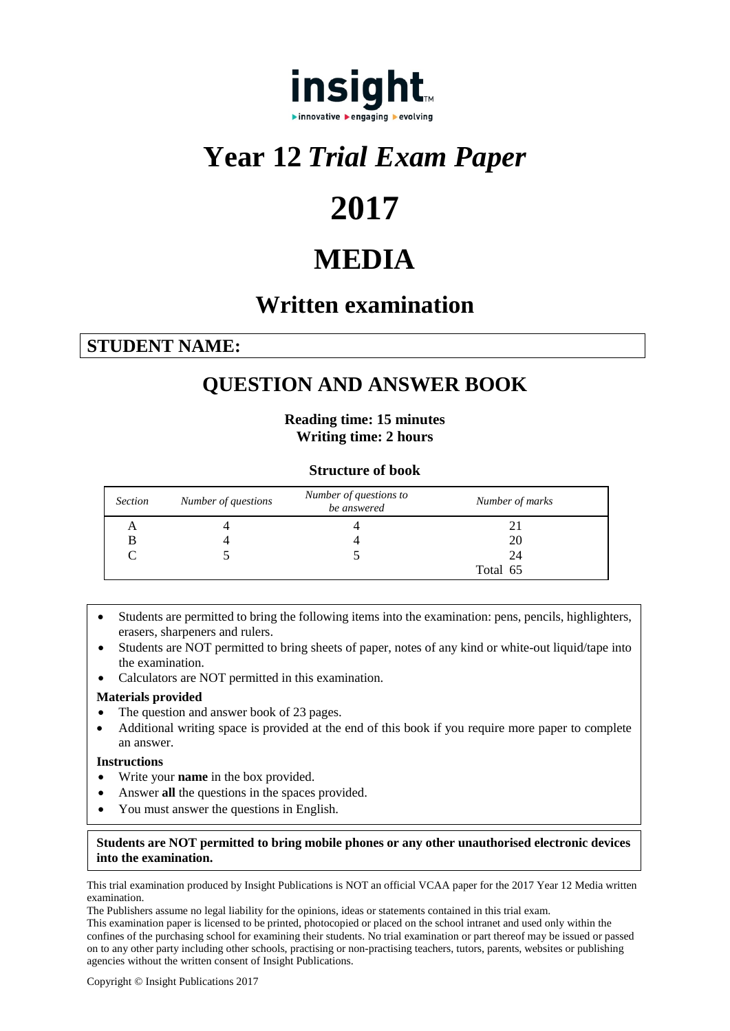

# **Year 12** *Trial Exam Paper*

# **2017**

# **MEDIA**

# **Written examination**

**STUDENT NAME:**

# **QUESTION AND ANSWER BOOK**

#### **Reading time: 15 minutes Writing time: 2 hours**

#### **Structure of book**

| <b>Section</b> | Number of questions | Number of questions to<br>be answered | Number of marks |
|----------------|---------------------|---------------------------------------|-----------------|
| A              |                     |                                       |                 |
| В              |                     |                                       | 20              |
|                |                     |                                       | 24              |
|                |                     |                                       | Total 65        |

- Students are permitted to bring the following items into the examination: pens, pencils, highlighters, erasers, sharpeners and rulers.
- Students are NOT permitted to bring sheets of paper, notes of any kind or white-out liquid/tape into the examination.
- Calculators are NOT permitted in this examination.

#### **Materials provided**

- The question and answer book of 23 pages.
- Additional writing space is provided at the end of this book if you require more paper to complete an answer.

#### **Instructions**

- Write your **name** in the box provided.
- Answer **all** the questions in the spaces provided.
- You must answer the questions in English.

#### **Students are NOT permitted to bring mobile phones or any other unauthorised electronic devices into the examination.**

This trial examination produced by Insight Publications is NOT an official VCAA paper for the 2017 Year 12 Media written examination.

The Publishers assume no legal liability for the opinions, ideas or statements contained in this trial exam.

This examination paper is licensed to be printed, photocopied or placed on the school intranet and used only within the confines of the purchasing school for examining their students. No trial examination or part thereof may be issued or passed on to any other party including other schools, practising or non-practising teachers, tutors, parents, websites or publishing agencies without the written consent of Insight Publications.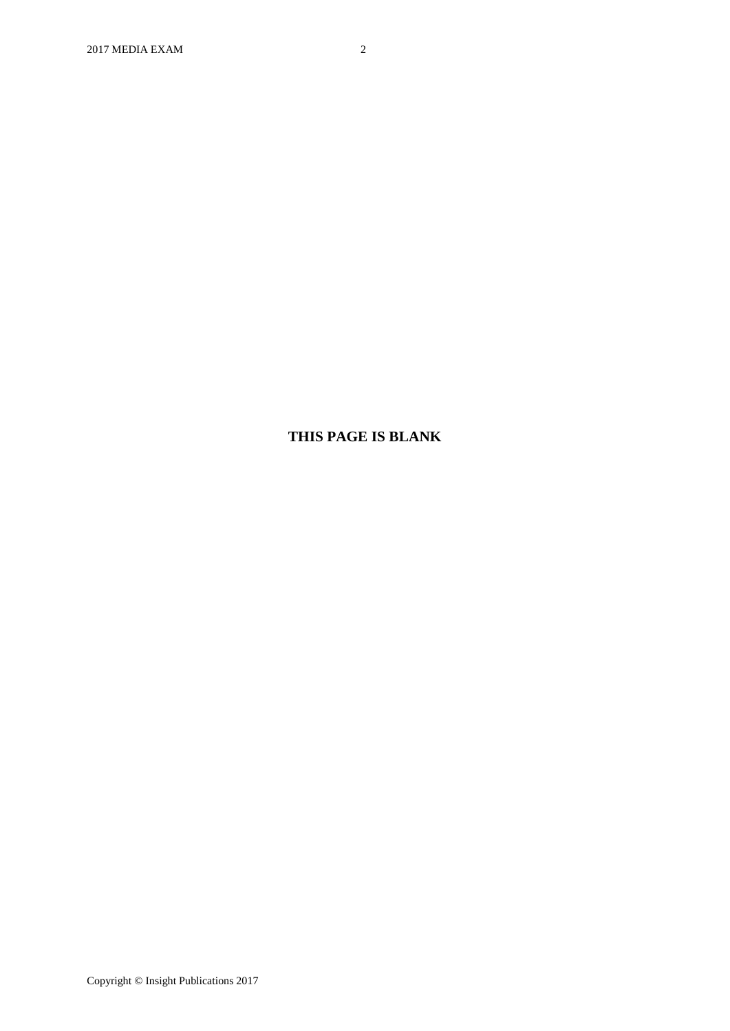**THIS PAGE IS BLANK**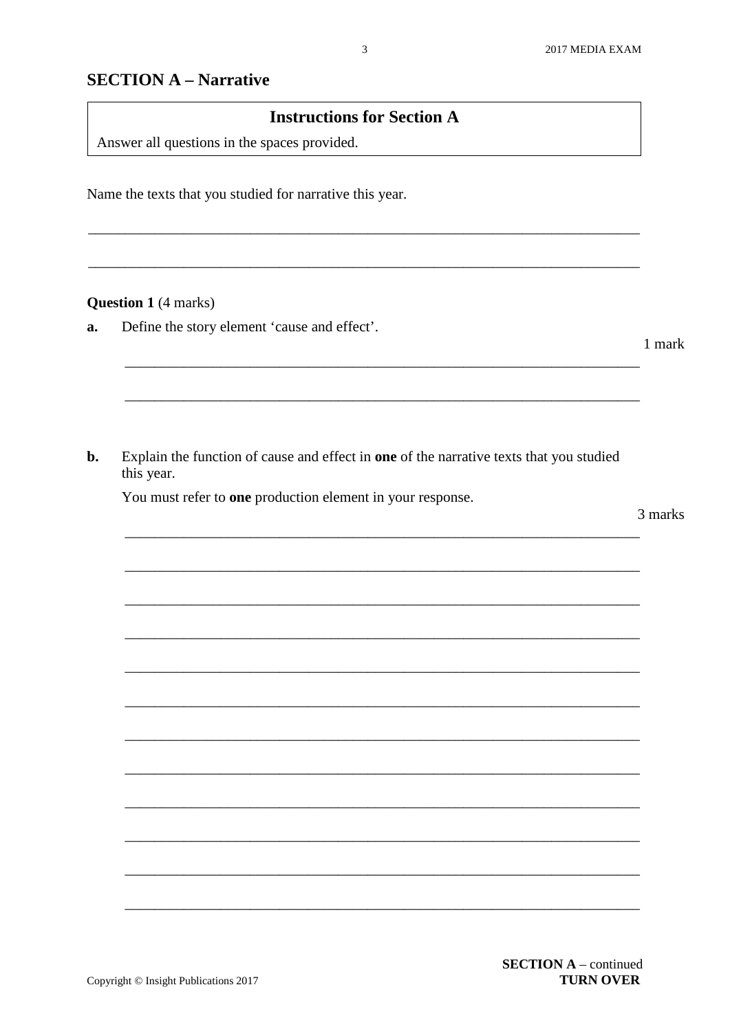# **SECTION A - Narrative**

# **Instructions for Section A**

Answer all questions in the spaces provided.

Name the texts that you studied for narrative this year.

## **Question 1** (4 marks)

 $a.$ Define the story element 'cause and effect'.

1 mark

Explain the function of cause and effect in one of the narrative texts that you studied  $\mathbf{b}$ . this year.

You must refer to one production element in your response.

3 marks

**SECTION A** – continued **TURN OVER**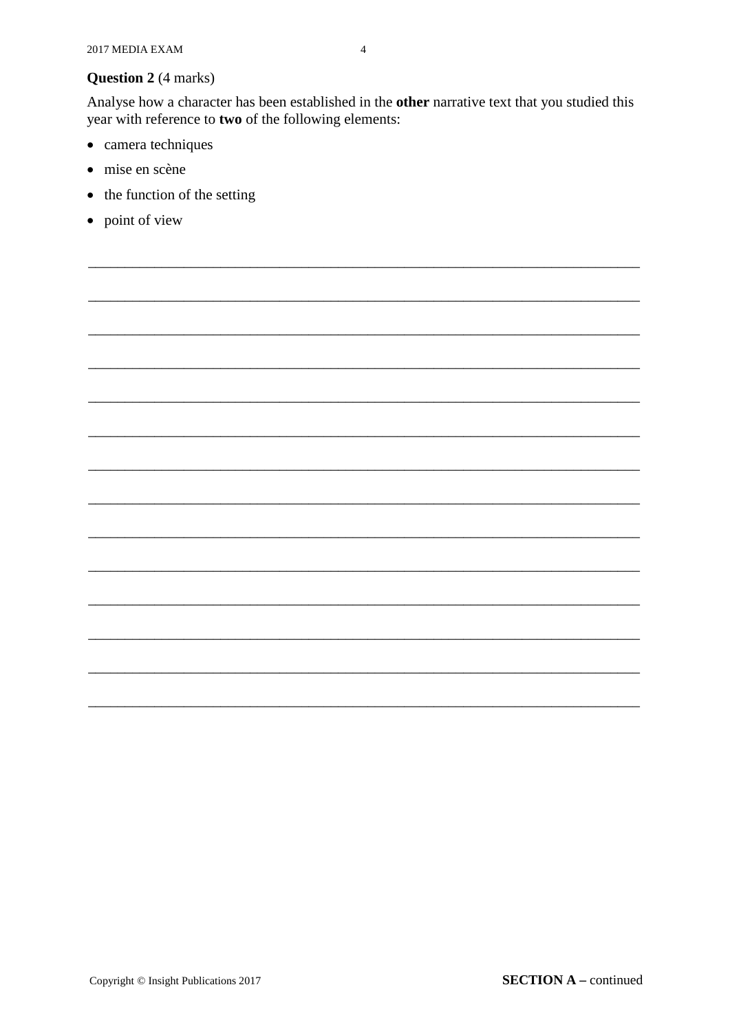#### **Question 2** (4 marks)

Analyse how a character has been established in the other narrative text that you studied this year with reference to two of the following elements:

- camera techniques
- · mise en scène
- the function of the setting
- point of view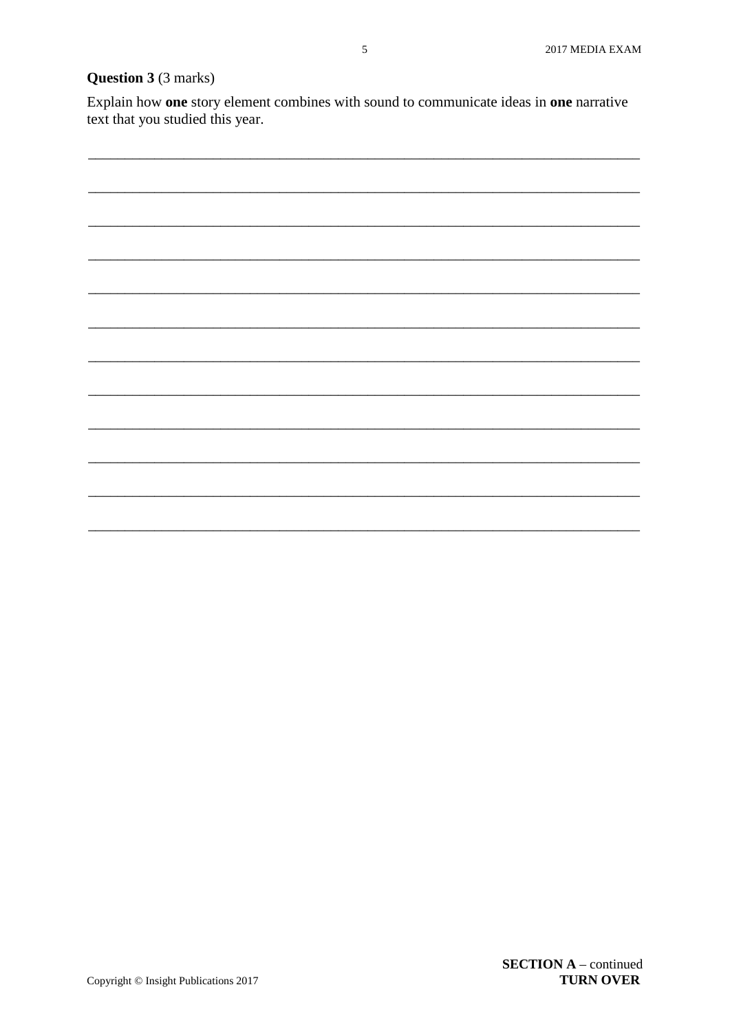#### **Question 3** (3 marks)

Explain how one story element combines with sound to communicate ideas in one narrative text that you studied this year.

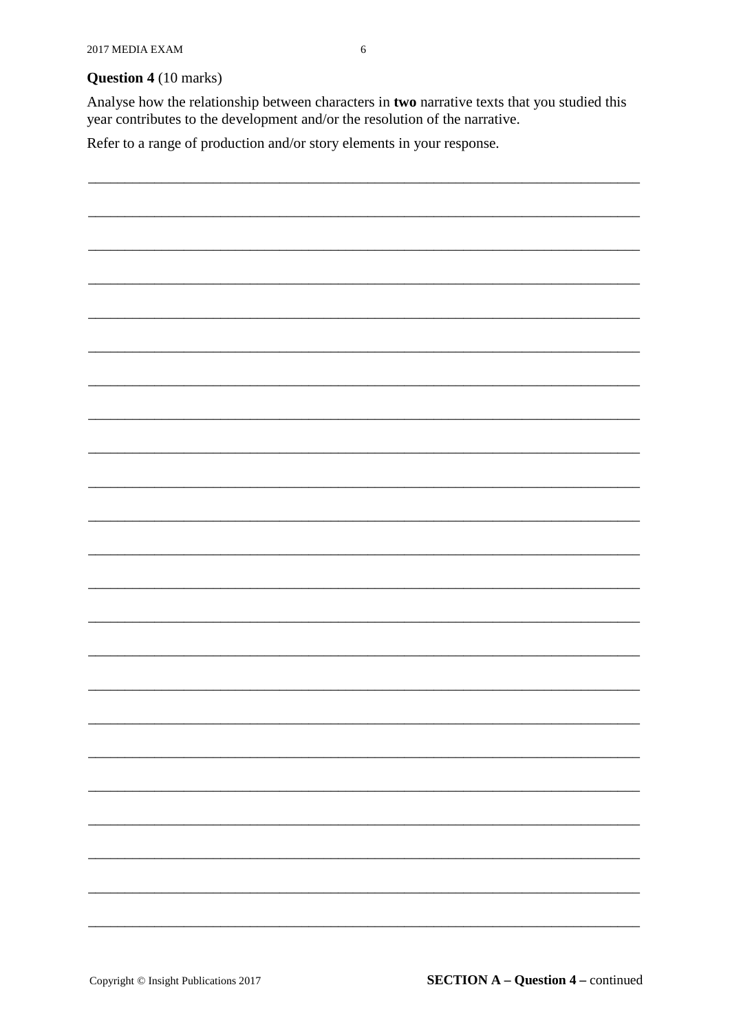#### **Question 4** (10 marks)

Analyse how the relationship between characters in two narrative texts that you studied this year contributes to the development and/or the resolution of the narrative.

Refer to a range of production and/or story elements in your response.

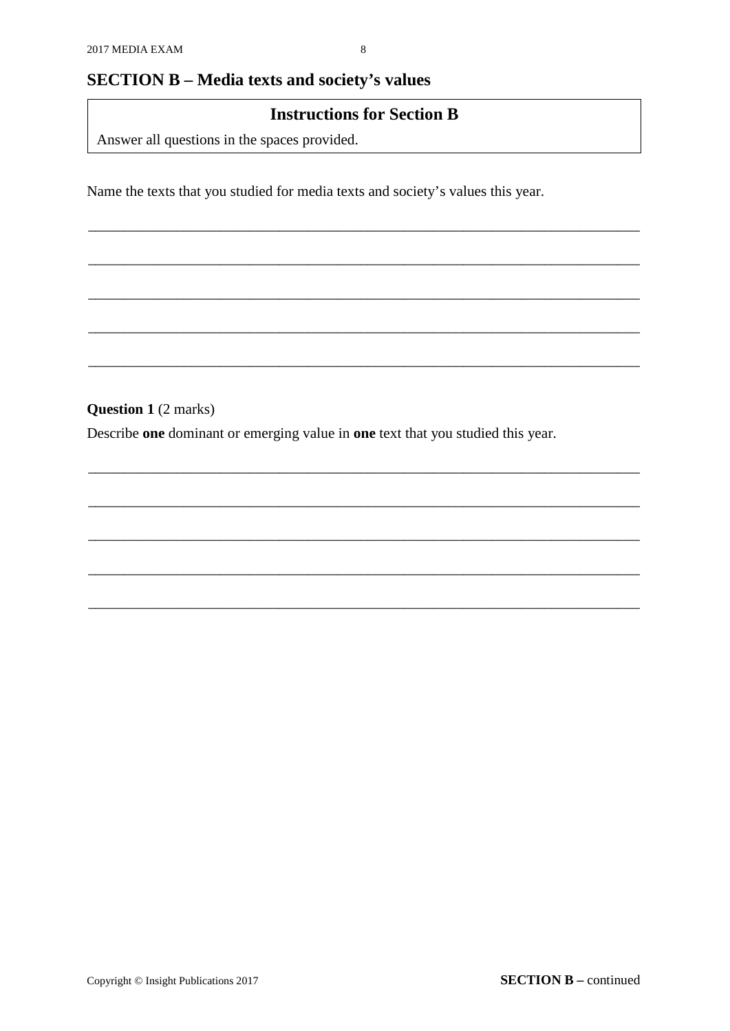## **SECTION B - Media texts and society's values**

## **Instructions for Section B**

Answer all questions in the spaces provided.

Name the texts that you studied for media texts and society's values this year.

**Question 1** (2 marks)

Describe one dominant or emerging value in one text that you studied this year.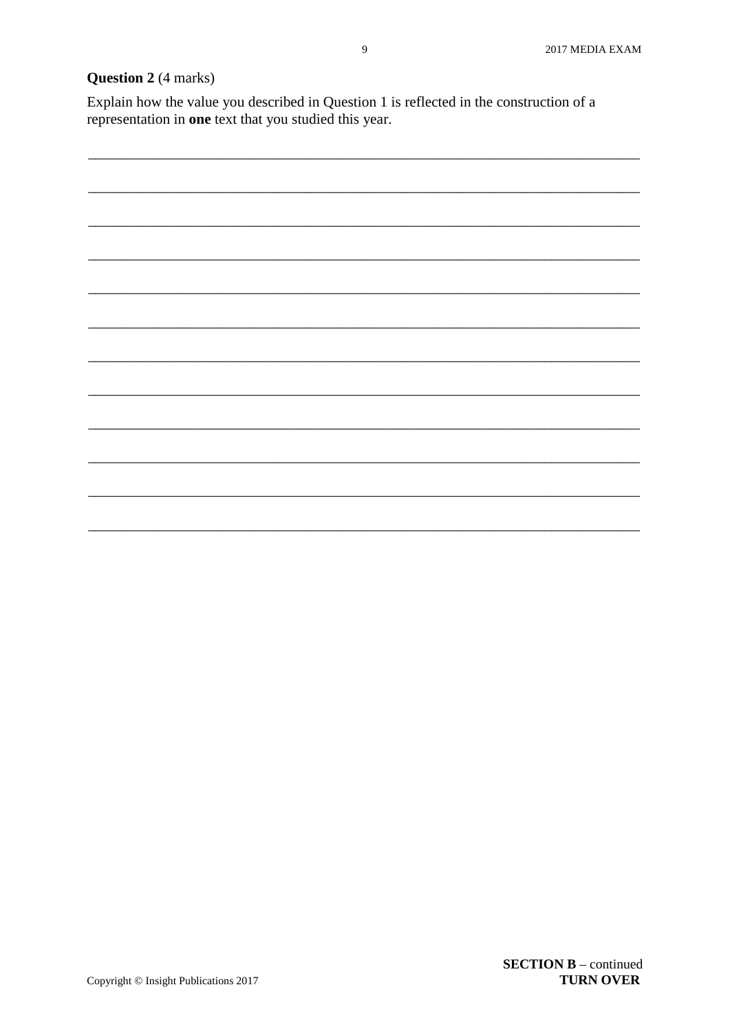### **Question 2** (4 marks)

Explain how the value you described in Question 1 is reflected in the construction of a representation in one text that you studied this year.

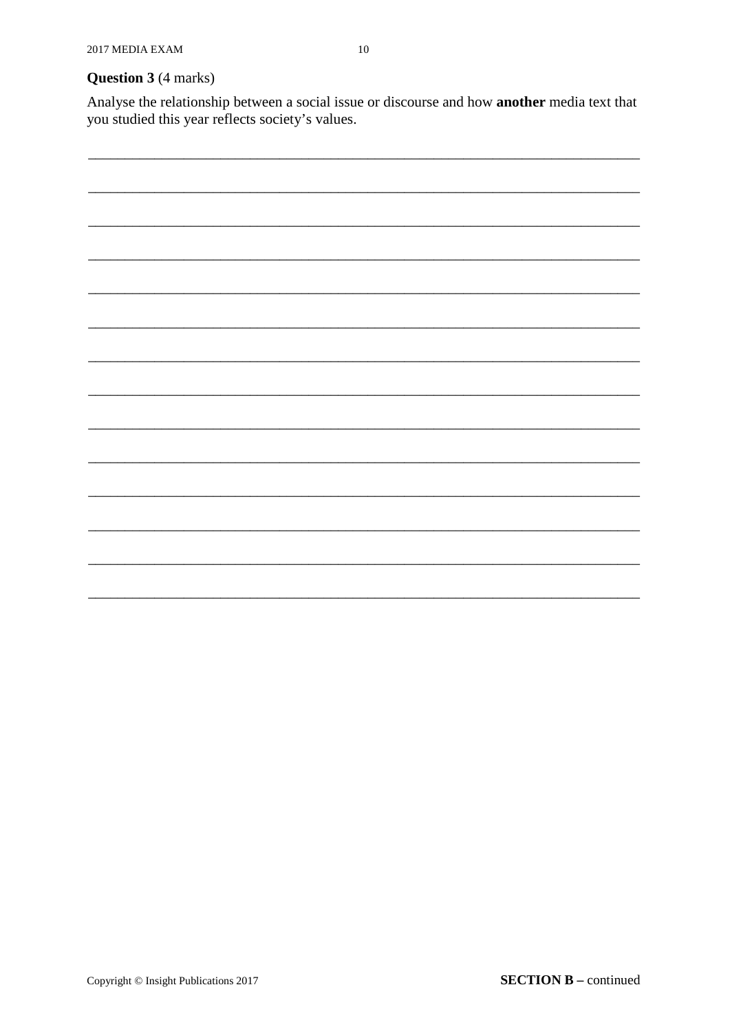Analyse the relationship between a social issue or discourse and how **another** media text that you studied this year reflects society's values.

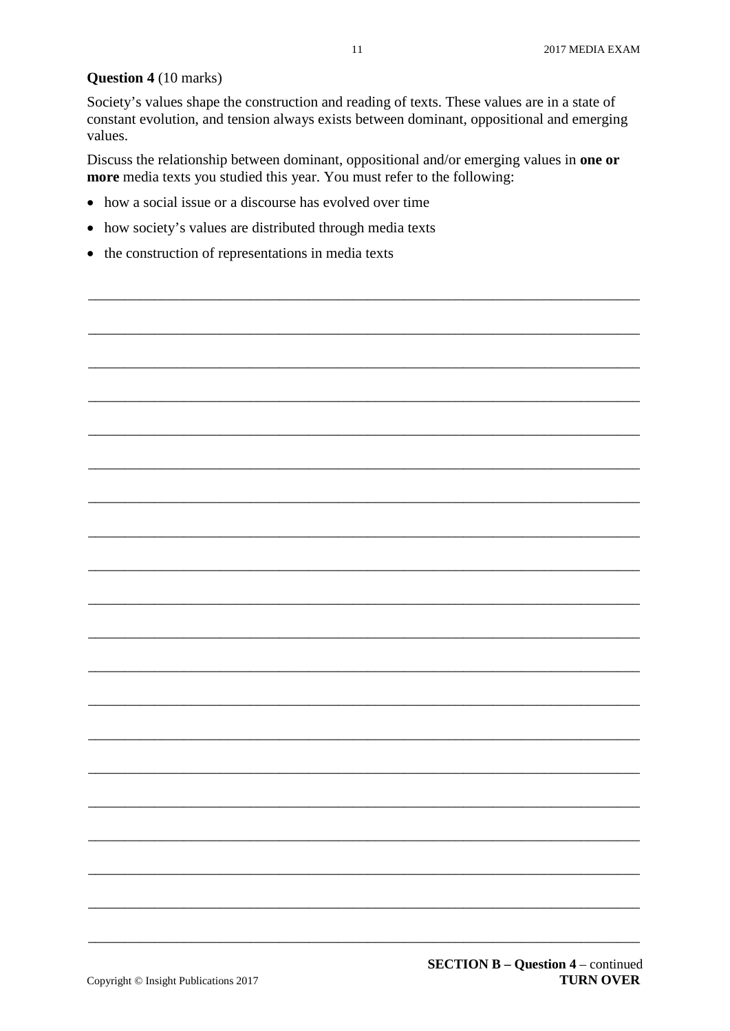#### **Ouestion 4** (10 marks)

Society's values shape the construction and reading of texts. These values are in a state of constant evolution, and tension always exists between dominant, oppositional and emerging values.

Discuss the relationship between dominant, oppositional and/or emerging values in one or more media texts you studied this year. You must refer to the following:

- how a social issue or a discourse has evolved over time
- how society's values are distributed through media texts
- the construction of representations in media texts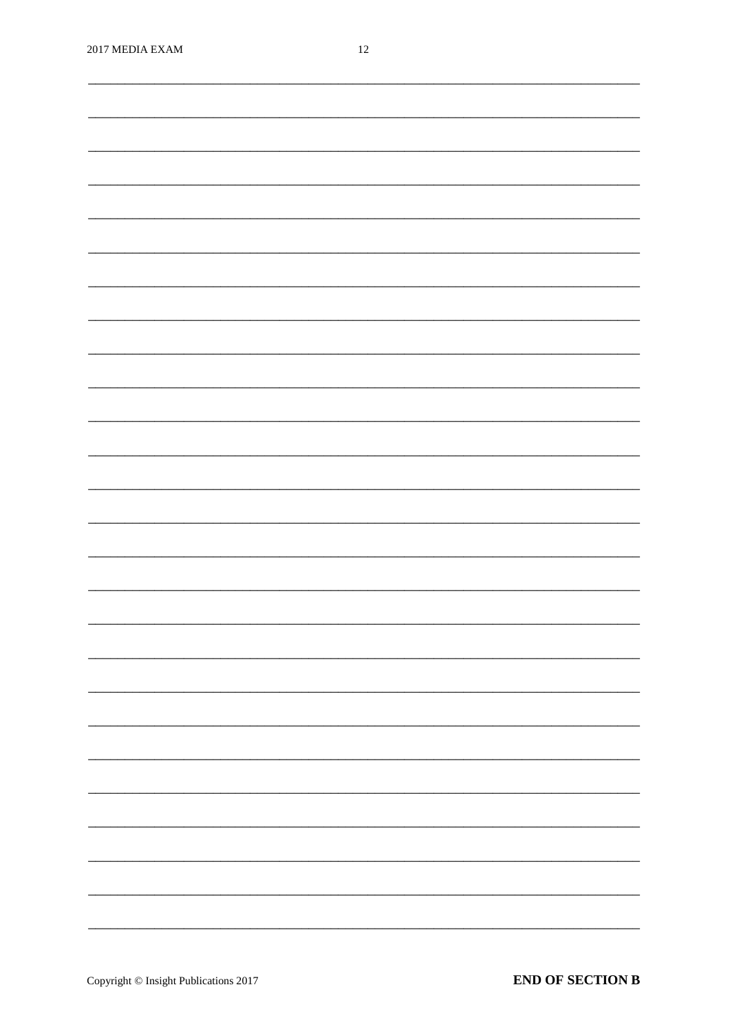| 2017 MEDIA EXAM | $12\,$ |
|-----------------|--------|
|                 |        |
|                 |        |
|                 |        |
|                 |        |
|                 |        |
|                 |        |
|                 |        |
|                 |        |
|                 |        |
|                 |        |
|                 |        |
|                 |        |
|                 |        |
|                 |        |
|                 |        |
|                 |        |
|                 |        |
|                 |        |
|                 |        |
|                 |        |
|                 |        |
|                 |        |
|                 |        |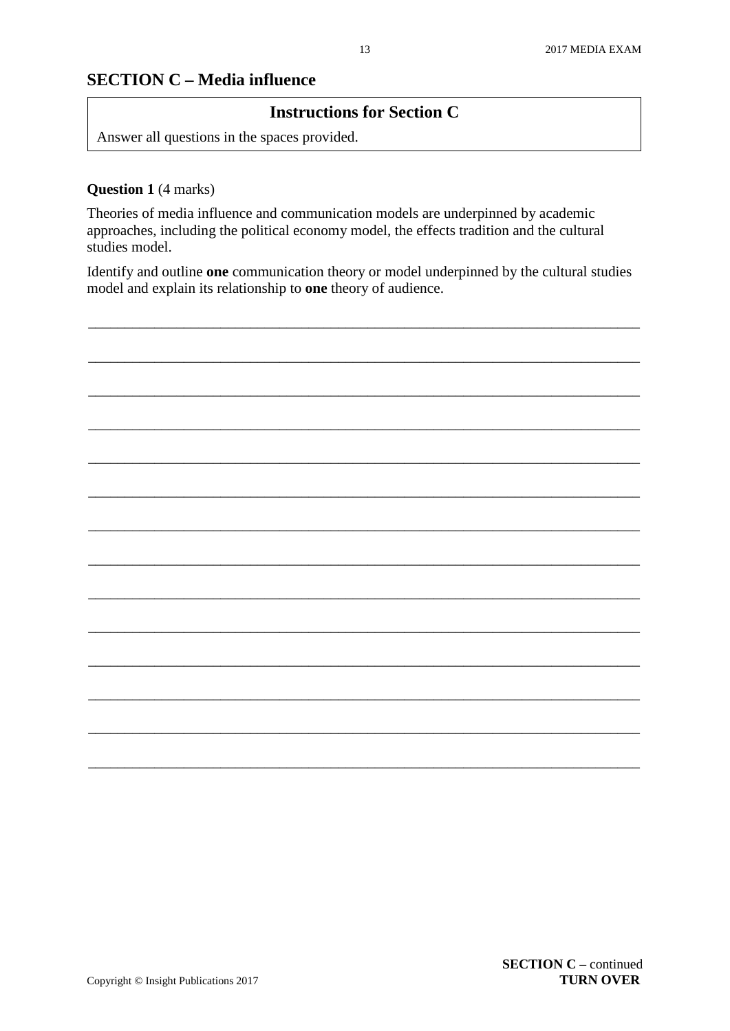## **SECTION C – Media influence**

### **Instructions for Section C**

Answer all questions in the spaces provided.

#### **Question 1** (4 marks)

Theories of media influence and communication models are underpinned by academic approaches, including the political economy model, the effects tradition and the cultural studies model.

Identify and outline **one** communication theory or model underpinned by the cultural studies model and explain its relationship to **one** theory of audience.

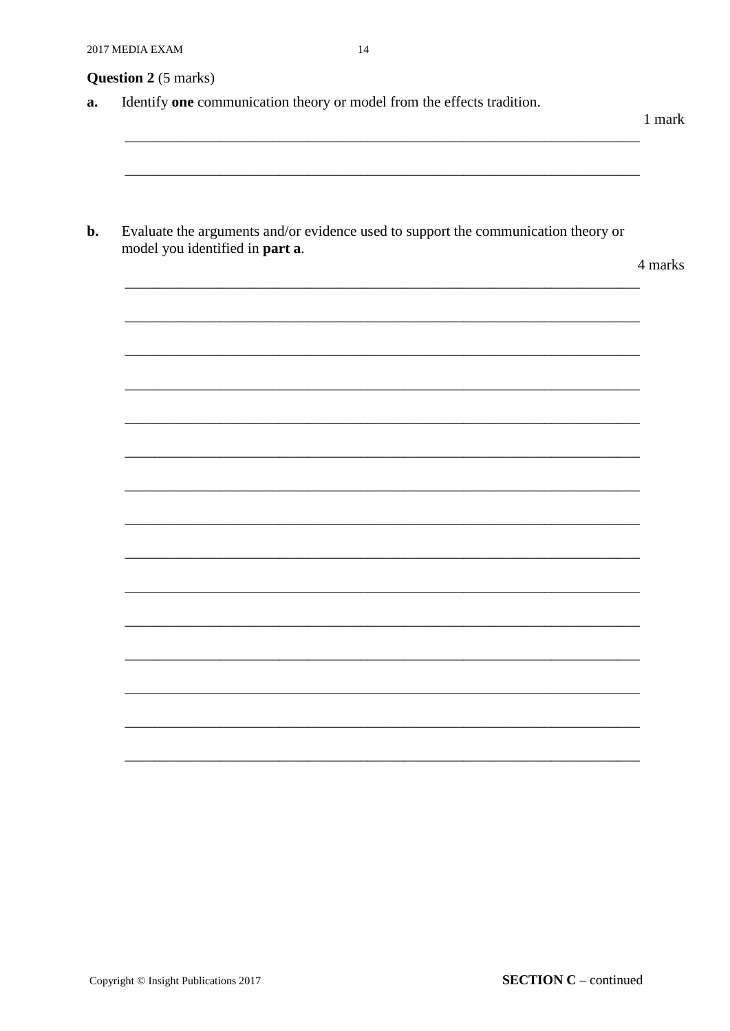#### **Question 2** (5 marks)

 $a.$ Identify one communication theory or model from the effects tradition.

1 mark

Evaluate the arguments and/or evidence used to support the communication theory or **.** model you identified in part a.

4 marks

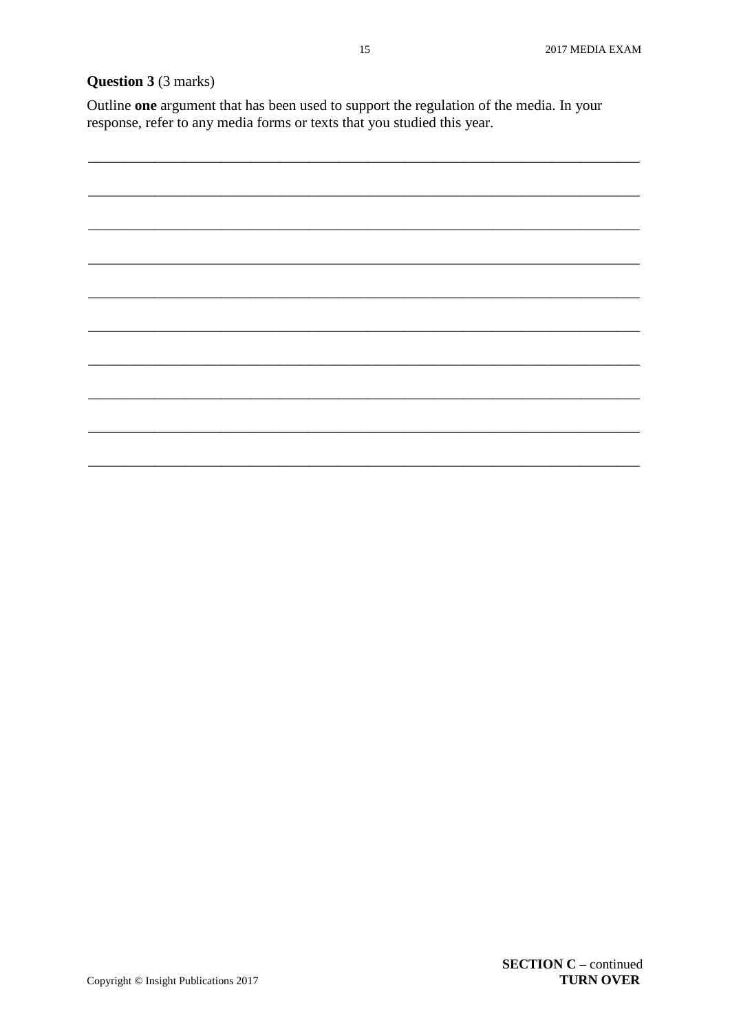## Question 3 (3 marks)

Outline one argument that has been used to support the regulation of the media. In your response, refer to any media forms or texts that you studied this year.

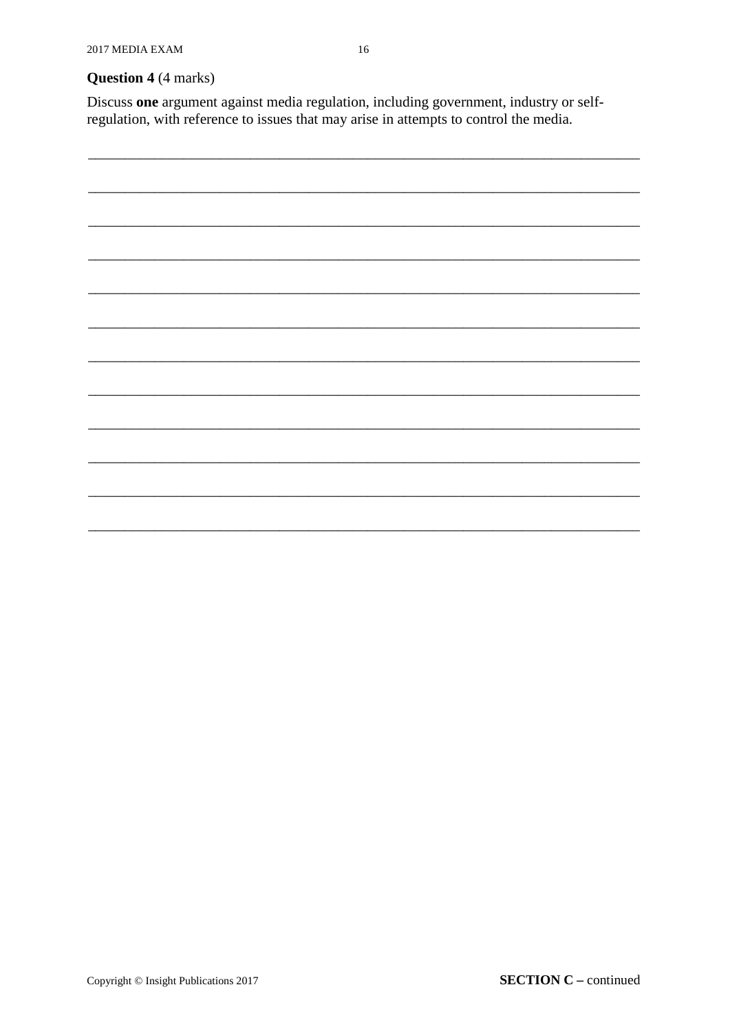Discuss one argument against media regulation, including government, industry or selfregulation, with reference to issues that may arise in attempts to control the media.

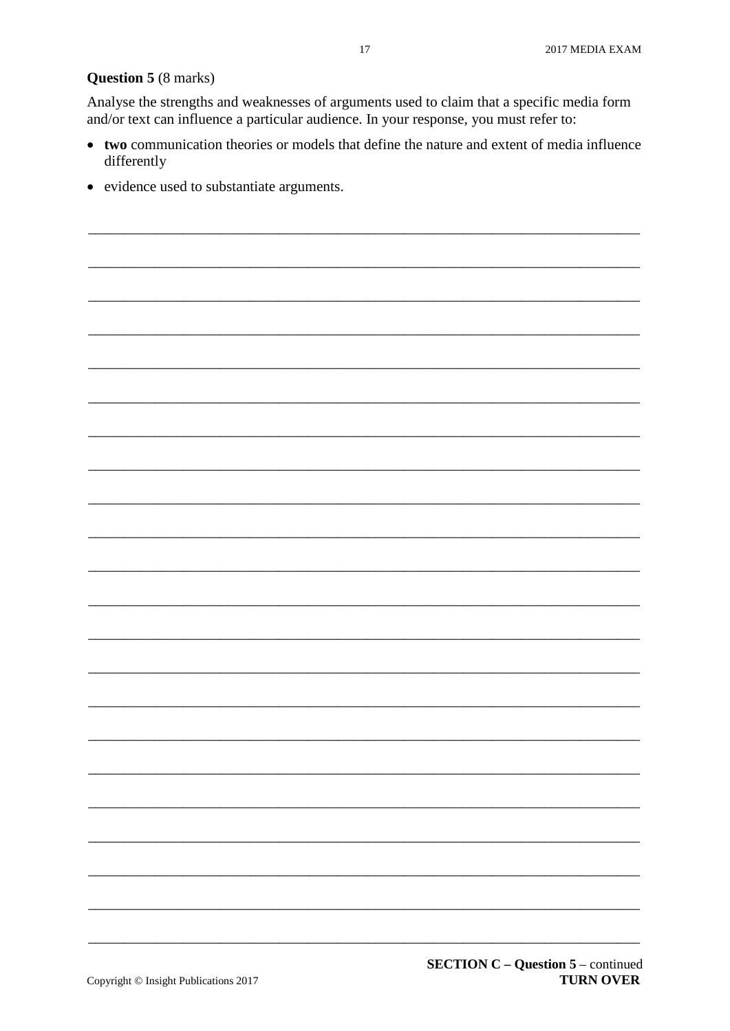#### **Question 5** (8 marks)

Analyse the strengths and weaknesses of arguments used to claim that a specific media form and/or text can influence a particular audience. In your response, you must refer to:

- two communication theories or models that define the nature and extent of media influence differently
- evidence used to substantiate arguments.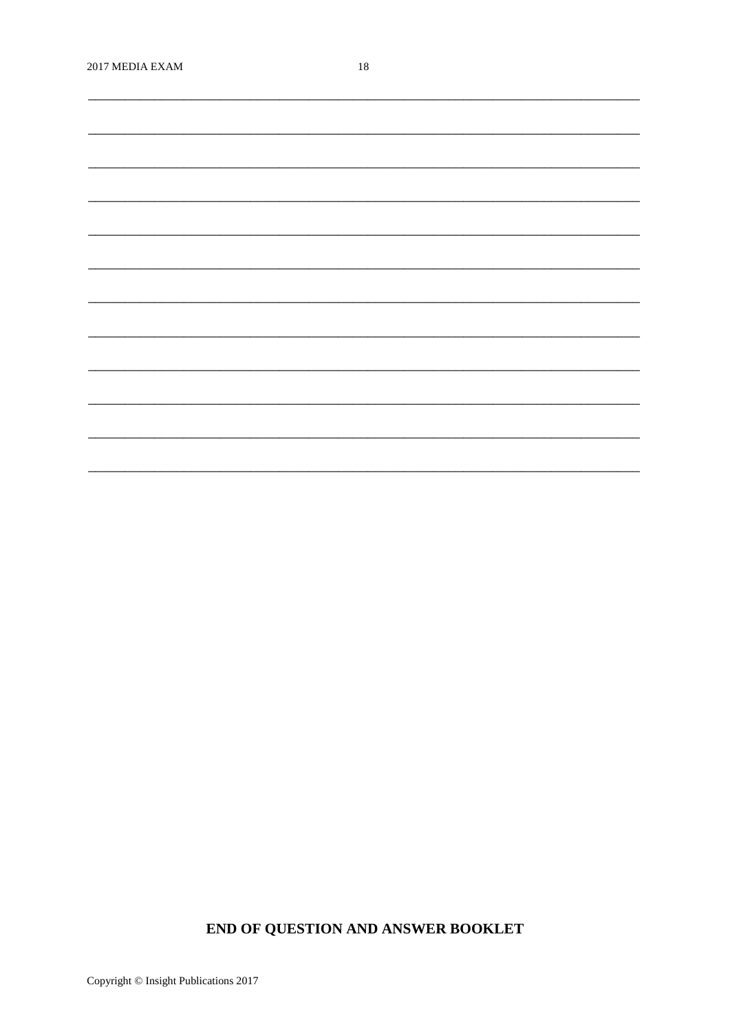| 2017 MEDIA EXAM | 18 |  |  |
|-----------------|----|--|--|
|                 |    |  |  |
|                 |    |  |  |
|                 |    |  |  |
|                 |    |  |  |
|                 |    |  |  |
|                 |    |  |  |
|                 |    |  |  |
|                 |    |  |  |
|                 |    |  |  |
|                 |    |  |  |
|                 |    |  |  |
|                 |    |  |  |

# END OF QUESTION AND ANSWER BOOKLET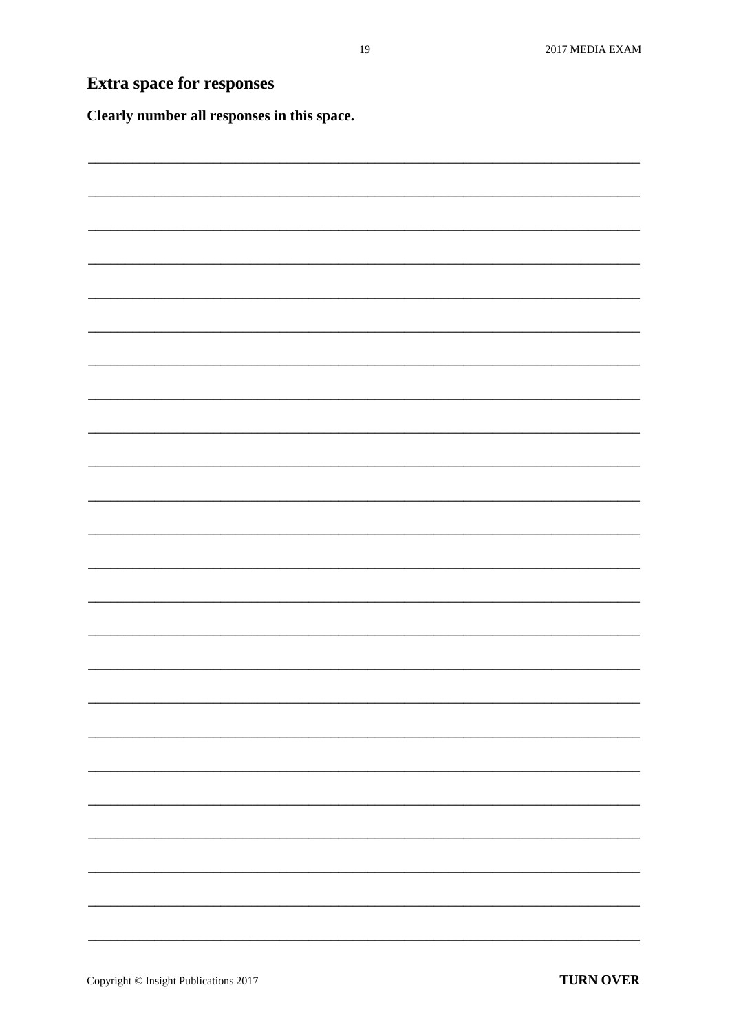# **Extra space for responses**

Clearly number all responses in this space.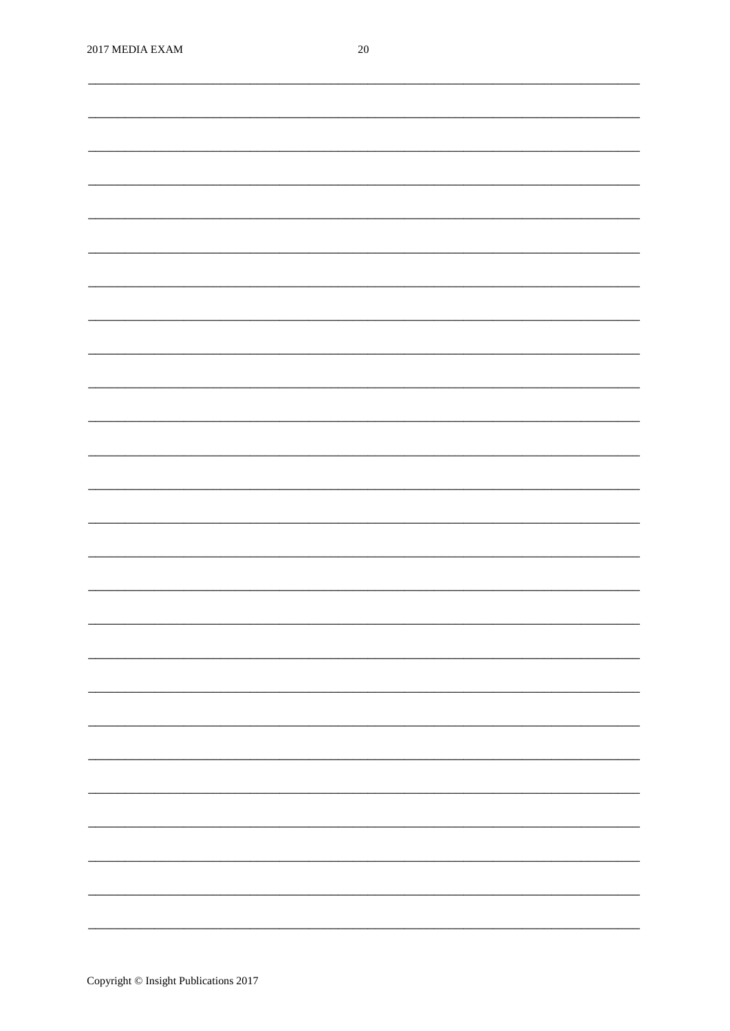| $2017$ MEDIA EAAM | $\omega$ |  |
|-------------------|----------|--|
|                   |          |  |
|                   |          |  |
|                   |          |  |
|                   |          |  |
|                   |          |  |
|                   |          |  |
|                   |          |  |
|                   |          |  |
|                   |          |  |
|                   |          |  |
|                   |          |  |
|                   |          |  |
|                   |          |  |
|                   |          |  |
|                   |          |  |
|                   |          |  |
|                   |          |  |
|                   |          |  |
|                   |          |  |
|                   |          |  |
|                   |          |  |
|                   |          |  |
|                   |          |  |
|                   |          |  |
|                   |          |  |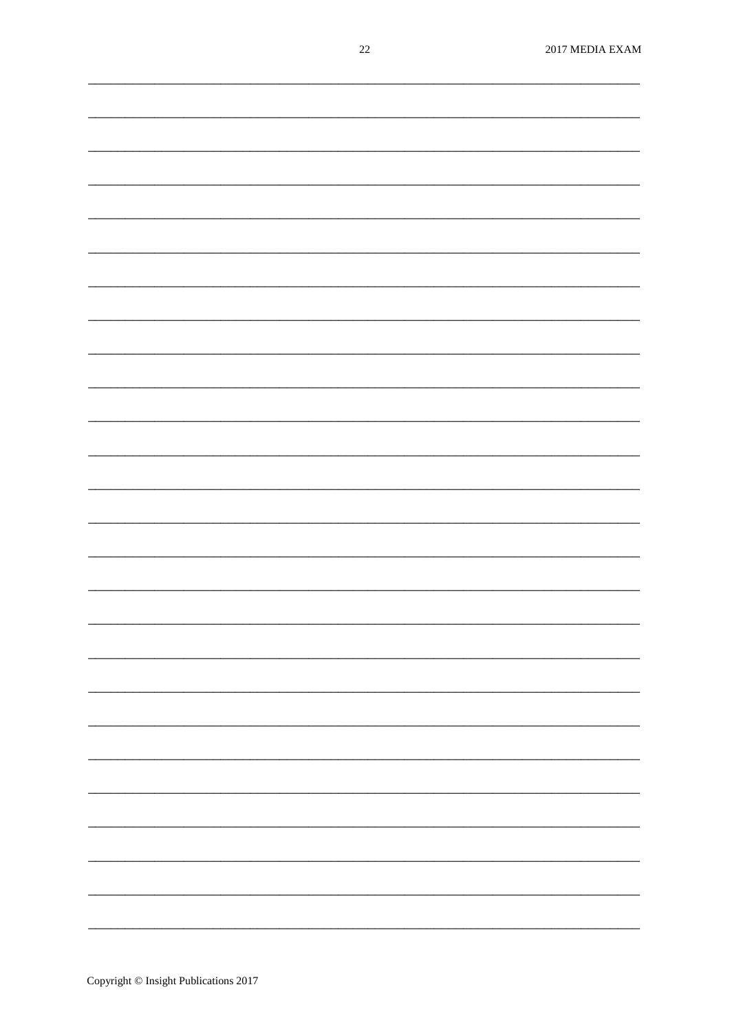|  | —  |
|--|----|
|  |    |
|  |    |
|  |    |
|  |    |
|  | L. |
|  |    |
|  |    |
|  |    |
|  |    |
|  |    |
|  |    |
|  |    |
|  |    |
|  |    |
|  |    |
|  |    |
|  |    |
|  |    |
|  |    |
|  |    |
|  |    |
|  |    |
|  |    |
|  |    |
|  |    |
|  |    |
|  |    |
|  |    |
|  |    |
|  |    |
|  |    |
|  |    |
|  |    |
|  |    |
|  |    |
|  |    |
|  |    |
|  |    |
|  |    |
|  |    |
|  |    |
|  |    |
|  |    |
|  |    |
|  |    |
|  |    |
|  |    |
|  |    |
|  |    |
|  |    |
|  |    |
|  |    |
|  |    |
|  |    |
|  |    |
|  |    |
|  |    |
|  |    |
|  |    |
|  |    |
|  |    |
|  |    |
|  |    |
|  |    |
|  |    |
|  |    |
|  |    |
|  |    |
|  |    |
|  |    |
|  |    |
|  |    |
|  |    |
|  |    |
|  |    |
|  |    |
|  |    |
|  |    |
|  |    |
|  |    |
|  |    |
|  |    |
|  |    |
|  |    |
|  |    |
|  |    |
|  |    |
|  |    |
|  |    |
|  |    |
|  |    |
|  |    |
|  |    |
|  |    |
|  |    |
|  |    |
|  |    |